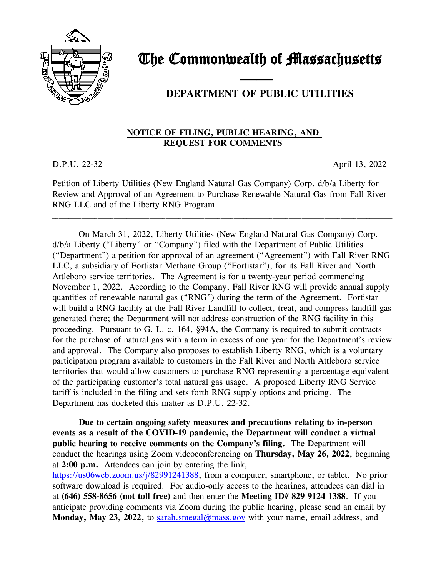

## The Commonwealth of Massachusetts

## —— **DEPARTMENT OF PUBLIC UTILITIES**

## **NOTICE OF FILING, PUBLIC HEARING, AND REQUEST FOR COMMENTS**

D.P.U. 22-32 April 13, 2022

Petition of Liberty Utilities (New England Natural Gas Company) Corp. d/b/a Liberty for Review and Approval of an Agreement to Purchase Renewable Natural Gas from Fall River RNG LLC and of the Liberty RNG Program.

\_\_\_\_\_\_\_\_\_\_\_\_\_\_\_\_\_\_\_\_\_\_\_\_\_\_\_\_\_\_\_\_\_\_\_\_\_\_\_\_\_\_\_\_\_\_\_\_\_\_\_\_\_\_\_\_\_\_\_\_\_\_\_\_\_\_\_\_\_\_\_\_\_\_\_\_\_\_\_\_\_\_\_\_\_\_\_\_\_\_\_\_\_\_\_\_\_\_\_\_\_\_\_\_\_

On March 31, 2022, Liberty Utilities (New England Natural Gas Company) Corp. d/b/a Liberty ("Liberty" or "Company") filed with the Department of Public Utilities ("Department") a petition for approval of an agreement ("Agreement") with Fall River RNG LLC, a subsidiary of Fortistar Methane Group ("Fortistar"), for its Fall River and North Attleboro service territories. The Agreement is for a twenty-year period commencing November 1, 2022. According to the Company, Fall River RNG will provide annual supply quantities of renewable natural gas ("RNG") during the term of the Agreement. Fortistar will build a RNG facility at the Fall River Landfill to collect, treat, and compress landfill gas generated there; the Department will not address construction of the RNG facility in this proceeding. Pursuant to G. L. c. 164, §94A, the Company is required to submit contracts for the purchase of natural gas with a term in excess of one year for the Department's review and approval. The Company also proposes to establish Liberty RNG, which is a voluntary participation program available to customers in the Fall River and North Attleboro service territories that would allow customers to purchase RNG representing a percentage equivalent of the participating customer's total natural gas usage. A proposed Liberty RNG Service tariff is included in the filing and sets forth RNG supply options and pricing. The Department has docketed this matter as D.P.U. 22-32.

**Due to certain ongoing safety measures and precautions relating to in-person events as a result of the COVID-19 pandemic, the Department will conduct a virtual public hearing to receive comments on the Company's filing.** The Department will conduct the hearings using Zoom videoconferencing on **Thursday, May 26, 2022**, beginning at **2:00 p.m.** Attendees can join by entering the link,

[https://us06web.zoom.us/j/82991241388,](https://us06web.zoom.us/j/82991241388) from a computer, smartphone, or tablet. No prior software download is required. For audio-only access to the hearings, attendees can dial in at **(646) 558-8656 (not toll free)** and then enter the **Meeting ID# 829 9124 1388**. If you anticipate providing comments via Zoom during the public hearing, please send an email by **Monday, May 23, 2022, to [sarah.smegal@mass.gov](mailto:sarah.smegal@mass.gov)** with your name, email address, and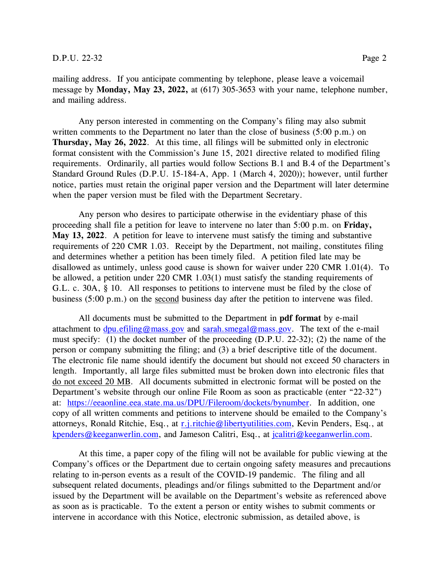mailing address. If you anticipate commenting by telephone, please leave a voicemail message by **Monday, May 23, 2022,** at (617) 305-3653 with your name, telephone number, and mailing address.

Any person interested in commenting on the Company's filing may also submit written comments to the Department no later than the close of business (5:00 p.m.) on **Thursday, May 26, 2022**. At this time, all filings will be submitted only in electronic format consistent with the Commission's June 15, 2021 directive related to modified filing requirements. Ordinarily, all parties would follow Sections B.1 and B.4 of the Department's Standard Ground Rules (D.P.U. 15-184-A, App. 1 (March 4, 2020)); however, until further notice, parties must retain the original paper version and the Department will later determine when the paper version must be filed with the Department Secretary.

Any person who desires to participate otherwise in the evidentiary phase of this proceeding shall file a petition for leave to intervene no later than 5:00 p.m. on **Friday, May 13, 2022**. A petition for leave to intervene must satisfy the timing and substantive requirements of 220 CMR 1.03. Receipt by the Department, not mailing, constitutes filing and determines whether a petition has been timely filed. A petition filed late may be disallowed as untimely, unless good cause is shown for waiver under 220 CMR 1.01(4). To be allowed, a petition under 220 CMR 1.03(1) must satisfy the standing requirements of G.L. c. 30A, § 10. All responses to petitions to intervene must be filed by the close of business (5:00 p.m.) on the second business day after the petition to intervene was filed.

All documents must be submitted to the Department in **pdf format** by e-mail attachment to  $\frac{dpu. \text{effiling}\omega_{\text{mass}}. gov}$  and sarah.smegal $\omega_{\text{mass}}. gov$ . The text of the e-mail must specify: (1) the docket number of the proceeding (D.P.U. 22-32); (2) the name of the person or company submitting the filing; and (3) a brief descriptive title of the document. The electronic file name should identify the document but should not exceed 50 characters in length. Importantly, all large files submitted must be broken down into electronic files that do not exceed 20 MB. All documents submitted in electronic format will be posted on the Department's website through our online File Room as soon as practicable (enter "22-32") at: [https://eeaonline.eea.state.ma.us/DPU/Fileroom/dockets/bynumber.](https://eeaonline.eea.state.ma.us/DPU/Fileroom/dockets/bynumber) In addition, one copy of all written comments and petitions to intervene should be emailed to the Company's attorneys, Ronald Ritchie, Esq., at [r.j.ritchie@libertyutilities.com,](mailto:r.j.ritchie@libertyutilities.com) Kevin Penders, Esq., at [kpenders@keeganwerlin.com,](mailto:kpenders@keeganwerlin.com) and Jameson Calitri, Esq., at [jcalitri@keeganwerlin.com.](mailto:jcalitri@keeganwerlin.com)

At this time, a paper copy of the filing will not be available for public viewing at the Company's offices or the Department due to certain ongoing safety measures and precautions relating to in-person events as a result of the COVID-19 pandemic. The filing and all subsequent related documents, pleadings and/or filings submitted to the Department and/or issued by the Department will be available on the Department's website as referenced above as soon as is practicable. To the extent a person or entity wishes to submit comments or intervene in accordance with this Notice, electronic submission, as detailed above, is